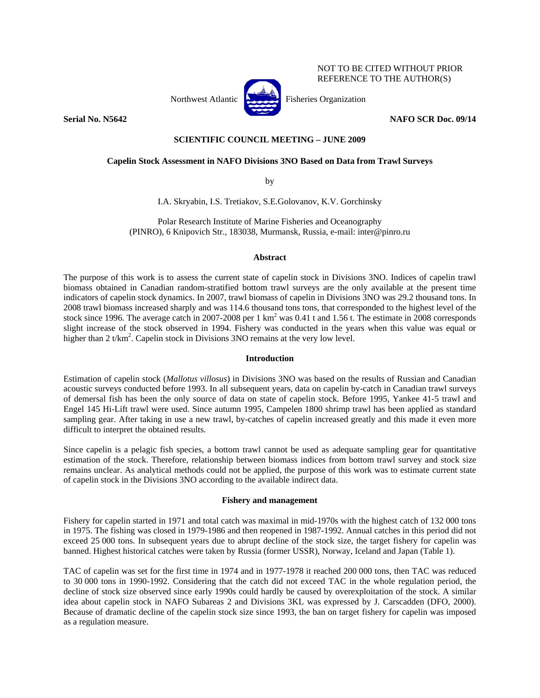

# **Serial No. N5642** NAFO SCR Doc. 09/14

NOT TO BE CITED WITHOUT PRIOR REFERENCE TO THE AUTHOR(S)

# **SCIENTIFIC COUNCIL MEETING – JUNE 2009**

# **Capelin Stock Assessment in NAFO Divisions 3NO Based on Data from Trawl Surveys**

by

I.A. Skryabin, I.S. Tretiakov, S.E.Golovanov, K.V. Gorchinsky

Polar Research Institute of Marine Fisheries and Oceanography (PINRO), 6 Knipovich Str., 183038, Murmansk, Russia, e-mail: inter@pinro.ru

# **Abstract**

The purpose of this work is to assess the current state of capelin stock in Divisions 3NO. Indices of capelin trawl biomass obtained in Canadian random-stratified bottom trawl surveys are the only available at the present time indicators of capelin stock dynamics. In 2007, trawl biomass of capelin in Divisions 3NO was 29.2 thousand tons. In 2008 trawl biomass increased sharply and was 114.6 thousand tons tons, that corresponded to the highest level of the stock since 1996. The average catch in 2007-2008 per 1 km<sup>2</sup> was 0.41 t and 1.56 t. The estimate in 2008 corresponds slight increase of the stock observed in 1994. Fishery was conducted in the years when this value was equal or higher than 2 t/km<sup>2</sup>. Capelin stock in Divisions 3NO remains at the very low level.

# **Introduction**

Estimation of capelin stock (*Mallotus villosus*) in Divisions 3NO was based on the results of Russian and Canadian acoustic surveys conducted before 1993. In all subsequent years, data on capelin by-catch in Canadian trawl surveys of demersal fish has been the only source of data on state of capelin stock. Before 1995, Yankee 41-5 trawl and Engel 145 Hi-Lift trawl were used. Since autumn 1995, Campelen 1800 shrimp trawl has been applied as standard sampling gear. After taking in use a new trawl, by-catches of capelin increased greatly and this made it even more difficult to interpret the obtained results.

Since capelin is a pelagic fish species, a bottom trawl cannot be used as adequate sampling gear for quantitative estimation of the stock. Therefore, relationship between biomass indices from bottom trawl survey and stock size remains unclear. As analytical methods could not be applied, the purpose of this work was to estimate current state of capelin stock in the Divisions 3NO according to the available indirect data.

# **Fishery and management**

Fishery for capelin started in 1971 and total catch was maximal in mid-1970s with the highest catch of 132 000 tons in 1975. The fishing was closed in 1979-1986 and then reopened in 1987-1992. Annual catches in this period did not exceed 25 000 tons. In subsequent years due to abrupt decline of the stock size, the target fishery for capelin was banned. Highest historical catches were taken by Russia (former USSR), Norway, Iceland and Japan (Table 1).

TAC of capelin was set for the first time in 1974 and in 1977-1978 it reached 200 000 tons, then TAC was reduced to 30 000 tons in 1990-1992. Considering that the catch did not exceed TAC in the whole regulation period, the decline of stock size observed since early 1990s could hardly be caused by overexploitation of the stock. A similar idea about capelin stock in NAFO Subareas 2 and Divisions 3KL was expressed by J. Carscadden (DFO, 2000). Because of dramatic decline of the capelin stock size since 1993, the ban on target fishery for capelin was imposed as a regulation measure.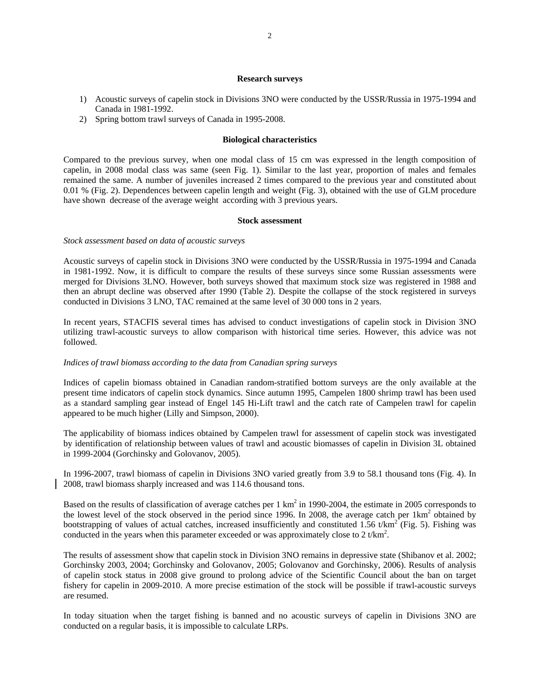## **Research surveys**

- 1) Acoustic surveys of capelin stock in Divisions 3NO were conducted by the USSR/Russia in 1975-1994 and Canada in 1981-1992.
- 2) Spring bottom trawl surveys of Canada in 1995-2008.

## **Biological characteristics**

Compared to the previous survey, when one modal class of 15 cm was expressed in the length composition of capelin, in 2008 modal class was same (seen Fig. 1). Similar to the last year, proportion of males and females remained the same. A number of juveniles increased 2 times compared to the previous year and constituted about 0.01 % (Fig. 2). Dependences between capelin length and weight (Fig. 3), obtained with the use of GLM procedure have shown decrease of the average weight according with 3 previous years.

### **Stock assessment**

### *Stock assessment based on data of acoustic surveys*

Acoustic surveys of capelin stock in Divisions 3NO were conducted by the USSR/Russia in 1975-1994 and Canada in 1981-1992. Now, it is difficult to compare the results of these surveys since some Russian assessments were merged for Divisions 3LNO. However, both surveys showed that maximum stock size was registered in 1988 and then an abrupt decline was observed after 1990 (Table 2). Despite the collapse of the stock registered in surveys conducted in Divisions 3 LNO, TAC remained at the same level of 30 000 tons in 2 years.

In recent years, STACFIS several times has advised to conduct investigations of capelin stock in Division 3NO utilizing trawl-acoustic surveys to allow comparison with historical time series. However, this advice was not followed.

## *Indices of trawl biomass according to the data from Canadian spring surveys*

Indices of capelin biomass obtained in Canadian random-stratified bottom surveys are the only available at the present time indicators of capelin stock dynamics. Since autumn 1995, Campelen 1800 shrimp trawl has been used as a standard sampling gear instead of Engel 145 Hi-Lift trawl and the catch rate of Campelen trawl for capelin appeared to be much higher (Lilly and Simpson, 2000).

The applicability of biomass indices obtained by Campelen trawl for assessment of capelin stock was investigated by identification of relationship between values of trawl and acoustic biomasses of capelin in Division 3L obtained in 1999-2004 (Gorchinsky and Golovanov, 2005).

In 1996-2007, trawl biomass of capelin in Divisions 3NO varied greatly from 3.9 to 58.1 thousand tons (Fig. 4). In 2008, trawl biomass sharply increased and was 114.6 thousand tons.

Based on the results of classification of average catches per  $1 \text{ km}^2$  in 1990-2004, the estimate in 2005 corresponds to the lowest level of the stock observed in the period since 1996. In 2008, the average catch per  $1 \text{km}^2$  obtained by bootstrapping of values of actual catches, increased insufficiently and constituted 1.56 t/km<sup>2</sup> (Fig. 5). Fishing was conducted in the years when this parameter exceeded or was approximately close to 2 t/km<sup>2</sup>.

The results of assessment show that capelin stock in Division 3NO remains in depressive state (Shibanov et al. 2002; Gorchinsky 2003, 2004; Gorchinsky and Golovanov, 2005; Golovanov and Gorchinsky, 2006). Results of analysis of capelin stock status in 2008 give ground to prolong advice of the Scientific Council about the ban on target fishery for capelin in 2009-2010. A more precise estimation of the stock will be possible if trawl-acoustic surveys are resumed.

In today situation when the target fishing is banned and no acoustic surveys of capelin in Divisions 3NO are conducted on a regular basis, it is impossible to calculate LRPs.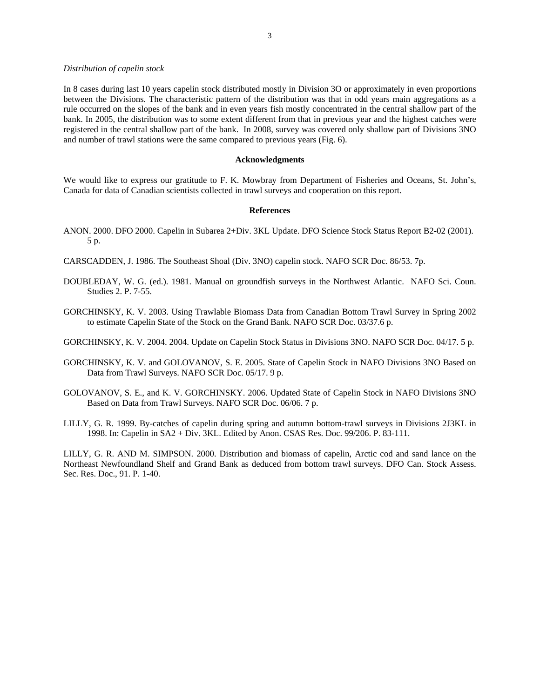### *Distribution of capelin stock*

In 8 cases during last 10 years capelin stock distributed mostly in Division 3O or approximately in even proportions between the Divisions. The characteristic pattern of the distribution was that in odd years main aggregations as a rule occurred on the slopes of the bank and in even years fish mostly concentrated in the central shallow part of the bank. In 2005, the distribution was to some extent different from that in previous year and the highest catches were registered in the central shallow part of the bank. In 2008, survey was covered only shallow part of Divisions 3NO and number of trawl stations were the same compared to previous years (Fig. 6).

## **Acknowledgments**

We would like to express our gratitude to F. K. Mowbray from Department of Fisheries and Oceans, St. John's, Canada for data of Canadian scientists collected in trawl surveys and cooperation on this report.

### **References**

- ANON. 2000. DFO 2000. Capelin in Subarea 2+Div. 3KL Update. DFO Science Stock Status Report B2-02 (2001). 5 p.
- CARSCADDEN, J. 1986. The Southeast Shoal (Div. 3NO) capelin stock. NAFO SCR Doc. 86/53. 7p.
- DOUBLEDAY, W. G. (ed.). 1981. Manual on groundfish surveys in the Northwest Atlantic. NAFO Sci. Coun. Studies 2. P. 7-55.
- GORCHINSKY, K. V. 2003. Using Trawlable Biomass Data from Canadian Bottom Trawl Survey in Spring 2002 to estimate Capelin State of the Stock on the Grand Bank. NAFO SCR Doc. 03/37.6 p.
- GORCHINSKY, K. V. 2004. 2004. Update on Capelin Stock Status in Divisions 3NO. NAFO SCR Doc. 04/17. 5 p.
- GORCHINSKY, K. V. and GOLOVANOV, S. E. 2005. State of Capelin Stock in NAFO Divisions 3NO Based on Data from Trawl Surveys. NAFO SCR Doc. 05/17. 9 p.
- GOLOVANOV, S. E., and K. V. GORCHINSKY. 2006. Updated State of Capelin Stock in NAFO Divisions 3NO Based on Data from Trawl Surveys. NAFO SCR Doc. 06/06. 7 p.
- LILLY, G. R. 1999. By-catches of capelin during spring and autumn bottom-trawl surveys in Divisions 2J3KL in 1998. In: Capelin in SA2 + Div. 3KL. Edited by Anon. CSAS Res. Doc. 99/206. P. 83-111.

LILLY, G. R. AND M. SIMPSON. 2000. Distribution and biomass of capelin, Arctic cod and sand lance on the Northeast Newfoundland Shelf and Grand Bank as deduced from bottom trawl surveys. DFO Can. Stock Assess. Sec. Res. Doc., 91. P. 1-40.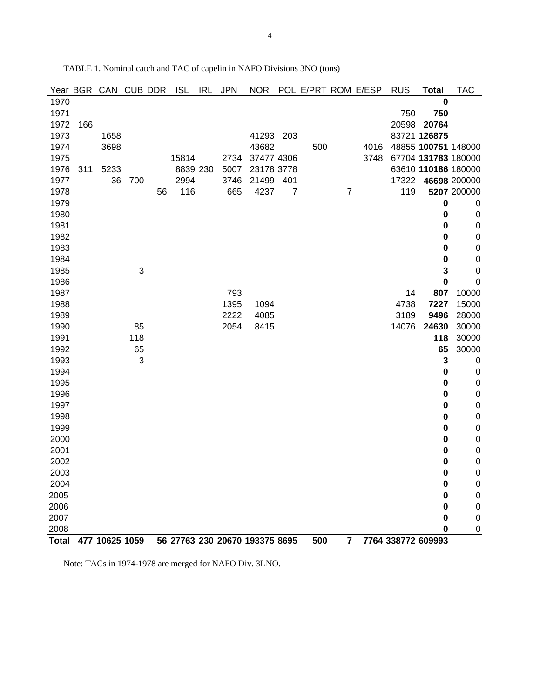| Year BGR |     | CAN CUB DDR    |     |    | <b>ISL</b> | <b>IRL</b> | <b>JPN</b> | <b>NOR</b>                     |                | POL E/PRT ROM E/ESP |                |      | <b>RUS</b> | <b>Total</b>        | <b>TAC</b>          |
|----------|-----|----------------|-----|----|------------|------------|------------|--------------------------------|----------------|---------------------|----------------|------|------------|---------------------|---------------------|
| 1970     |     |                |     |    |            |            |            |                                |                |                     |                |      |            | $\bf{0}$            |                     |
| 1971     |     |                |     |    |            |            |            |                                |                |                     |                |      | 750        | 750                 |                     |
| 1972     | 166 |                |     |    |            |            |            |                                |                |                     |                |      | 20598      | 20764               |                     |
| 1973     |     | 1658           |     |    |            |            |            | 41293 203                      |                |                     |                |      |            | 83721 126875        |                     |
| 1974     |     | 3698           |     |    |            |            |            | 43682                          |                | 500                 |                | 4016 |            | 48855 100751 148000 |                     |
| 1975     |     |                |     |    | 15814      |            | 2734       | 37477 4306                     |                |                     |                | 3748 |            | 67704 131783 180000 |                     |
| 1976     | 311 | 5233           |     |    | 8839 230   |            | 5007       | 23178 3778                     |                |                     |                |      |            |                     | 63610 110186 180000 |
| 1977     |     | 36             | 700 |    | 2994       |            | 3746       | 21499                          | 401            |                     |                |      |            | 17322 46698 200000  |                     |
| 1978     |     |                |     | 56 | 116        |            | 665        | 4237                           | $\overline{7}$ |                     | $\overline{7}$ |      | 119        |                     | 5207 200000         |
| 1979     |     |                |     |    |            |            |            |                                |                |                     |                |      |            | $\bf{0}$            | $\mathbf 0$         |
| 1980     |     |                |     |    |            |            |            |                                |                |                     |                |      |            | 0                   | $\mathbf 0$         |
| 1981     |     |                |     |    |            |            |            |                                |                |                     |                |      |            | $\bf{0}$            | $\mathbf 0$         |
| 1982     |     |                |     |    |            |            |            |                                |                |                     |                |      |            | 0                   | $\boldsymbol{0}$    |
| 1983     |     |                |     |    |            |            |            |                                |                |                     |                |      |            | 0                   | $\boldsymbol{0}$    |
| 1984     |     |                |     |    |            |            |            |                                |                |                     |                |      |            | $\bf{0}$            | $\boldsymbol{0}$    |
| 1985     |     |                | 3   |    |            |            |            |                                |                |                     |                |      |            | 3                   | $\mathbf 0$         |
| 1986     |     |                |     |    |            |            |            |                                |                |                     |                |      |            | 0                   | $\mathbf 0$         |
| 1987     |     |                |     |    |            |            | 793        |                                |                |                     |                |      | 14         | 807                 | 10000               |
| 1988     |     |                |     |    |            |            | 1395       | 1094                           |                |                     |                |      | 4738       | 7227                | 15000               |
| 1989     |     |                |     |    |            |            | 2222       | 4085                           |                |                     |                |      | 3189       | 9496                | 28000               |
| 1990     |     |                | 85  |    |            |            | 2054       | 8415                           |                |                     |                |      | 14076      | 24630               | 30000               |
| 1991     |     |                | 118 |    |            |            |            |                                |                |                     |                |      |            | 118                 | 30000               |
| 1992     |     |                | 65  |    |            |            |            |                                |                |                     |                |      |            | 65                  | 30000               |
| 1993     |     |                | 3   |    |            |            |            |                                |                |                     |                |      |            | $\mathbf{3}$        | $\boldsymbol{0}$    |
| 1994     |     |                |     |    |            |            |            |                                |                |                     |                |      |            | $\bf{0}$            | $\boldsymbol{0}$    |
| 1995     |     |                |     |    |            |            |            |                                |                |                     |                |      |            | $\bf{0}$            | $\boldsymbol{0}$    |
| 1996     |     |                |     |    |            |            |            |                                |                |                     |                |      |            | 0                   | $\boldsymbol{0}$    |
| 1997     |     |                |     |    |            |            |            |                                |                |                     |                |      |            | 0                   | $\boldsymbol{0}$    |
| 1998     |     |                |     |    |            |            |            |                                |                |                     |                |      |            | $\bf{0}$            | $\boldsymbol{0}$    |
| 1999     |     |                |     |    |            |            |            |                                |                |                     |                |      |            | 0                   | $\boldsymbol{0}$    |
| 2000     |     |                |     |    |            |            |            |                                |                |                     |                |      |            | 0                   | $\mathbf 0$         |
| 2001     |     |                |     |    |            |            |            |                                |                |                     |                |      |            | 0                   | $\boldsymbol{0}$    |
| 2002     |     |                |     |    |            |            |            |                                |                |                     |                |      |            | 0                   | $\mathbf 0$         |
| 2003     |     |                |     |    |            |            |            |                                |                |                     |                |      |            | 0                   | $\boldsymbol{0}$    |
| 2004     |     |                |     |    |            |            |            |                                |                |                     |                |      |            | $\bf{0}$            | $\boldsymbol{0}$    |
| 2005     |     |                |     |    |            |            |            |                                |                |                     |                |      |            | $\bf{0}$            | $\boldsymbol{0}$    |
| 2006     |     |                |     |    |            |            |            |                                |                |                     |                |      |            | $\bf{0}$            | $\pmb{0}$           |
| 2007     |     |                |     |    |            |            |            |                                |                |                     |                |      |            | $\bf{0}$            | $\mathbf 0$         |
| 2008     |     |                |     |    |            |            |            |                                |                |                     |                |      |            | 0                   | 0                   |
| Total    |     | 477 10625 1059 |     |    |            |            |            | 56 27763 230 20670 193375 8695 |                | 500                 | 7              |      |            | 7764 338772 609993  |                     |

TABLE 1. Nominal catch and TAC of capelin in NAFO Divisions 3NO (tons)

Note: TACs in 1974-1978 are merged for NAFO Div. 3LNO.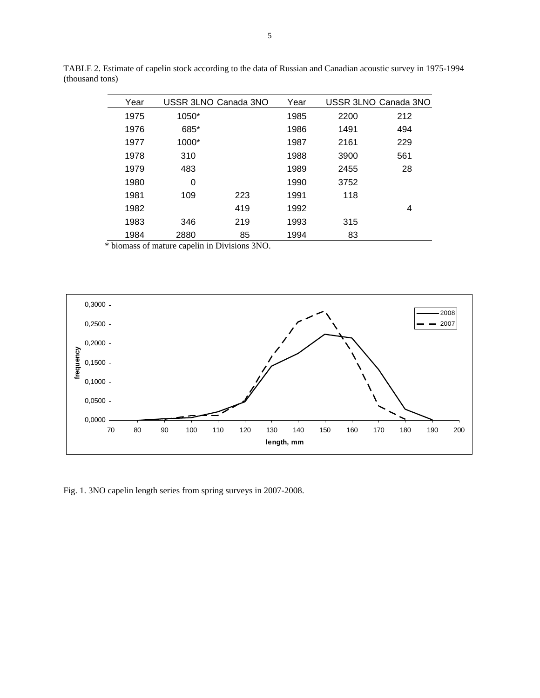| Year |       | USSR 3LNO Canada 3NO | Year |      | USSR 3LNO Canada 3NO |
|------|-------|----------------------|------|------|----------------------|
| 1975 | 1050* |                      | 1985 | 2200 | 212                  |
| 1976 | 685*  |                      | 1986 | 1491 | 494                  |
| 1977 | 1000* |                      | 1987 | 2161 | 229                  |
| 1978 | 310   |                      | 1988 | 3900 | 561                  |
| 1979 | 483   |                      | 1989 | 2455 | 28                   |
| 1980 | 0     |                      | 1990 | 3752 |                      |
| 1981 | 109   | 223                  | 1991 | 118  |                      |
| 1982 |       | 419                  | 1992 |      | 4                    |
| 1983 | 346   | 219                  | 1993 | 315  |                      |
| 1984 | 2880  | 85                   | 1994 | 83   |                      |
|      |       |                      |      |      |                      |

TABLE 2. Estimate of capelin stock according to the data of Russian and Canadian acoustic survey in 1975-1994 (thousand tons)

\* biomass of mature capelin in Divisions 3NO.



Fig. 1. 3NO capelin length series from spring surveys in 2007-2008.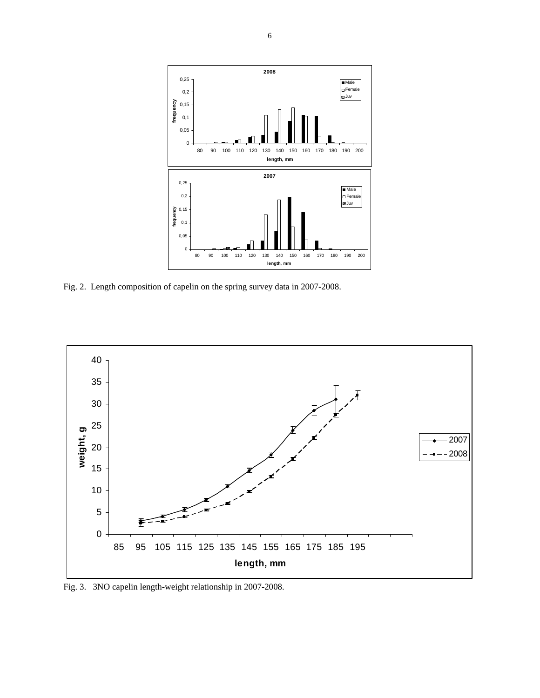

Fig. 2. Length composition of capelin on the spring survey data in 2007-2008.



Fig. 3. 3NO capelin length-weight relationship in 2007-2008.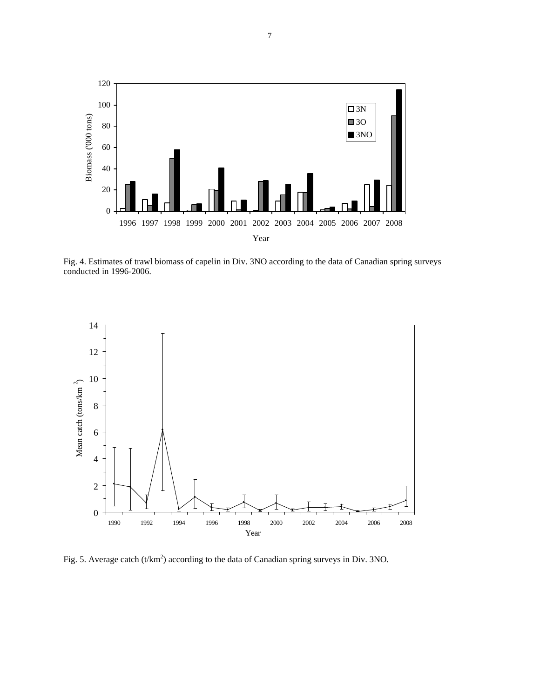

Fig. 4. Estimates of trawl biomass of capelin in Div. 3NO according to the data of Canadian spring surveys conducted in 1996-2006.



Fig. 5. Average catch (t/km<sup>2</sup>) according to the data of Canadian spring surveys in Div. 3NO.